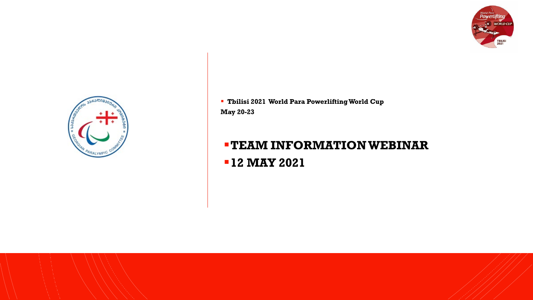

 **Tbilisi 2021 World Para Powerlifting World Cup May 20-23** 

## **TEAM INFORMATION WEBINAR 12 MAY 2021**

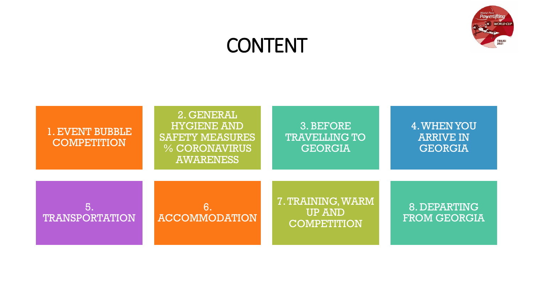# CONTENT



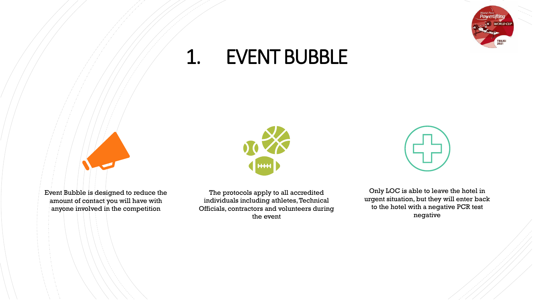# 1. EVENT BUBBLE

Event Bubble is designed to reduce the amount of contact you will have with anyone involved in the competition



The protocols apply to all accredited individuals including athletes, Technical Officials, contractors and volunteers during the event





Only LOC is able to leave the hotel in urgent situation, but they will enter back to the hotel with a negative PCR test negative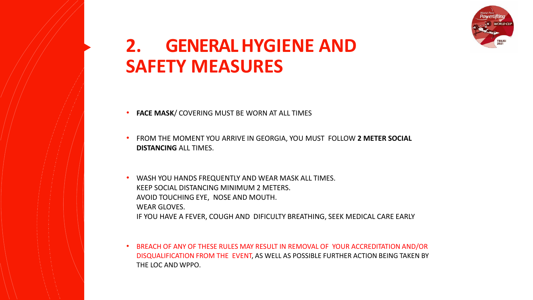# **2. GENERAL HYGIENE AND SAFETY MEASURES**

- FACE MASK/ COVERING MUST BE WORN AT ALL TIMES
- FROM THE MOMENT YOU ARRIVE IN GEORGIA, YOU MUST FOLLOW **2 METER SOCIAL DISTANCING** ALL TIMES.
- WASH YOU HANDS FREQUENTLY AND WEAR MASK ALL TIMES. KEEP SOCIAL DISTANCING MINIMUM 2 METERS. AVOID TOUCHING EYE, NOSE AND MOUTH. WEAR GLOVES. IF YOU HAVE A FEVER, COUGH AND DIFICULTY BREATHING, SEEK MEDICAL CARE EARLY
- BREACH OF ANY OF THESE RULES MAY RESULT IN REMOVAL OF YOUR ACCREDITATION AND/OR DISQUALIFICATION FROM THE EVENT, AS WELL AS POSSIBLE FURTHER ACTION BEING TAKEN BY THE LOC AND WPPO.



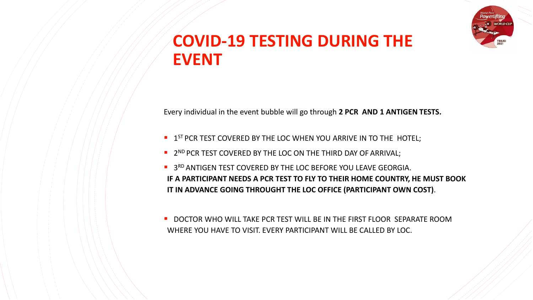Every individual in the event bubble will go through **2 PCR AND 1 ANTIGEN TESTS.**

- **1ST PCR TEST COVERED BY THE LOC WHEN YOU ARRIVE IN TO THE HOTEL;**
- **2ND PCR TEST COVERED BY THE LOC ON THE THIRD DAY OF ARRIVAL;**
- **3RD ANTIGEN TEST COVERED BY THE LOC BEFORE YOU LEAVE GEORGIA. IF A PARTICIPANT NEEDS A PCR TEST TO FLY TO THEIR HOME COUNTRY, HE MUST BOOK IT IN ADVANCE GOING THROUGHT THE LOC OFFICE (PARTICIPANT OWN COST)**.

**DOCTOR WHO WILL TAKE PCR TEST WILL BE IN THE FIRST FLOOR SEPARATE ROOM** WHERE YOU HAVE TO VISIT. EVERY PARTICIPANT WILL BE CALLED BY LOC.





## **COVID-19 TESTING DURING THE EVENT**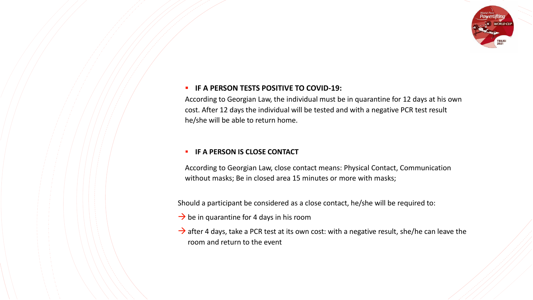### **IF A PERSON TESTS POSITIVE TO COVID-19:**

According to Georgian Law, the individual must be in quarantine for 12 days at his own cost. After 12 days the individual will be tested and with a negative PCR test result he/she will be able to return home.

### **IF A PERSON IS CLOSE CONTACT**

- $\rightarrow$  be in quarantine for 4 days in his room
- $\rightarrow$  after 4 days, take a PCR test at its own cost: with a negative result, she/he can leave the room and return to the event



According to Georgian Law, close contact means: Physical Contact, Communication without masks; Be in closed area 15 minutes or more with masks;

Should a participant be considered as a close contact, he/she will be required to: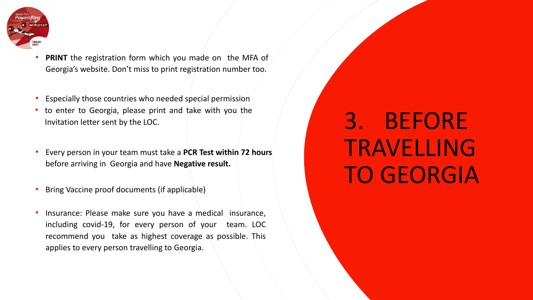# 3. BEFORE TRAVELLING TO GEORGIA



- **PRINT** the registration form which you made on the MFA of Georgia's website. Don't miss to print registration number too.
- Especially those countries who needed special permission
- to enter to Georgia, please print and take with you the Invitation letter sent by the LOC.
- Every person in your team must take a **PCR Test within 72 hours** before arriving in Georgia and have **Negative result.**
- Bring Vaccine proof documents (if applicable)
- Insurance: Please make sure you have a medical insurance, including covid-19, for every person of your team. LOC recommend you take as highest coverage as possible. This applies to every person travelling to Georgia.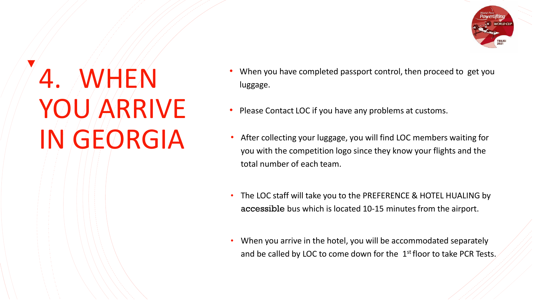# 4. WHEN YOU ARRIVE IN GEORGIA

- luggage.
- 
- total number of each team.
- 
- 



When you have completed passport control, then proceed to get you

Please Contact LOC if you have any problems at customs.

• The LOC staff will take you to the PREFERENCE & HOTEL HUALING by accessible bus which is located 10-15 minutes from the airport.

• When you arrive in the hotel, you will be accommodated separately and be called by LOC to come down for the 1st floor to take PCR Tests.

• After collecting your luggage, you will find LOC members waiting for you with the competition logo since they know your flights and the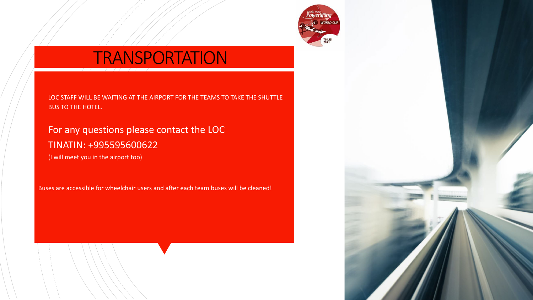

# TRANSPORTATION

LOC STAFF WILL BE WAITING AT THE AIRPORT FOR THE TEAMS TO TAKE THE SHUTTLE BUS TO THE HOTEL.

## For any questions please contact the LOC TINATIN: +995595600622

(I will meet you in the airport too)

Buses are accessible for wheelchair users and after each team buses will be cleaned!

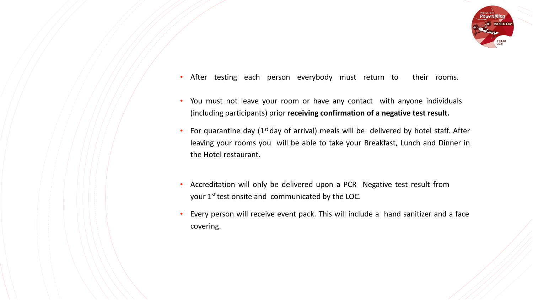- After testing each person everybody must return to their rooms.
- You must not leave your room or have any contact with anyone individuals (including participants) prior **receiving confirmation of a negative test result.**
- For quarantine day (1<sup>st</sup> day of arrival) meals will be delivered by hotel staff. After leaving your rooms you will be able to take your Breakfast, Lunch and Dinner in the Hotel restaurant.
- Accreditation will only be delivered upon a PCR Negative test result from your 1<sup>st</sup> test onsite and communicated by the LOC.
- Every person will receive event pack. This will include a hand sanitizer and a face covering.

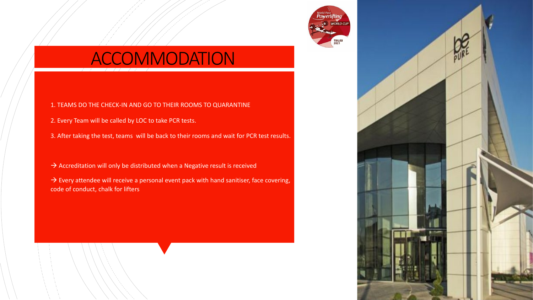

# ACCOMMODATION

- 1. TEAMS DO THE CHECK-IN AND GO TO THEIR ROOMS TO QUARANTINE
- 2. Every Team will be called by LOC to take PCR tests.
- 3. After taking the test, teams will be back to their rooms and wait for PCR test results.
- $\rightarrow$  Accreditation will only be distributed when a Negative result is received
- $\rightarrow$  Every attendee will receive a personal event pack with hand sanitiser, face covering, code of conduct, chalk for lifters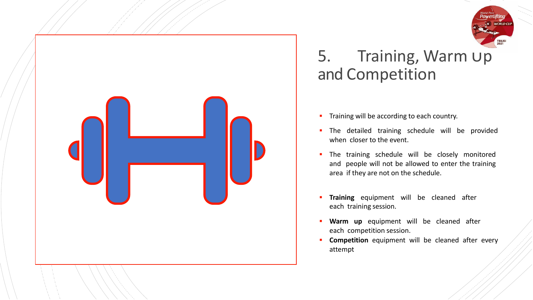



## 5. Training, Warm Up and Competition

**Training will be according to each country.** 

**The detailed training schedule will be provided** when closer to the event.

**The training schedule will be closely monitored** and people will not be allowed to enter the training area if they are not on the schedule.

**Training** equipment will be cleaned after each training session.

**Competition** equipment will be cleaned after every attempt

 **Warm up** equipment will be cleaned after each competition session.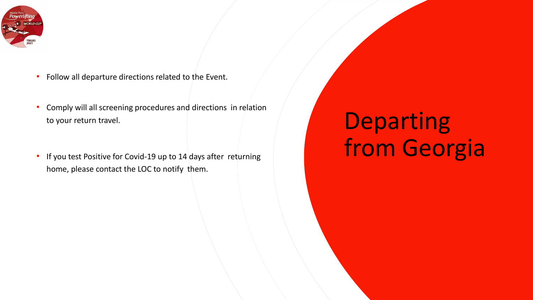# Departing from Georgia



- Follow all departure directions related to the Event.
- Comply will all screening procedures and directions in relation to your return travel.
- If you test Positive for Covid-19 up to 14 days after returning home, please contact the LOC to notify them.